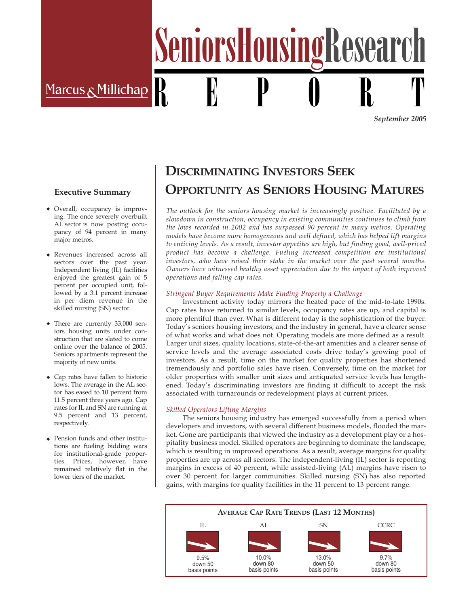Marcus & Millichap

*September 2005*

### **Executive Summary**

- ◆ Overall, occupancy is improving. The once severely overbuilt AL sector is now posting occupancy of 94 percent in many major metros.
- ◆ Revenues increased across all sectors over the past year. Independent living (IL) facilities enjoyed the greatest gain of 5 percent per occupied unit, followed by a 3.1 percent increase in per diem revenue in the skilled nursing (SN) sector.
- ◆ There are currently 33,000 seniors housing units under construction that are slated to come online over the balance of 2005. Seniors apartments represent the majority of new units.
- ◆ Cap rates have fallen to historic lows. The average in the AL sector has eased to 10 percent from 11.5 percent three years ago. Cap rates for IL and SN are running at 9.5 percent and 13 percent, respectively.
- ◆ Pension funds and other institutions are fueling bidding wars for institutional-grade properties. Prices, however, have remained relatively flat in the lower tiers of the market.

# **DISCRIMINATING INVESTORS SEEK OPPORTUNITY AS SENIORS HOUSING MATURES**

SeniorsHousingResearc

*The outlook for the seniors housing market is increasingly positive. Facilitated by a slowdown in construction, occupancy in existing communities continues to climb from the lows recorded in 2002 and has surpassed 90 percent in many metros. Operating models have become more homogeneous and well defined, which has helped lift margins to enticing levels. As a result, investor appetites are high, but finding good, well-priced product has become a challenge. Fueling increased competition are institutional investors, who have raised their stake in the market over the past several months. Owners have witnessed healthy asset appreciation due to the impact of both improved operations and falling cap rates.*

#### *Stringent Buyer Requirements Make Finding Property a Challenge*

Investment activity today mirrors the heated pace of the mid-to-late 1990s. Cap rates have returned to similar levels, occupancy rates are up, and capital is more plentiful than ever. What is different today is the sophistication of the buyer. Today's seniors housing investors, and the industry in general, have a clearer sense of what works and what does not. Operating models are more defined as a result. Larger unit sizes, quality locations, state-of-the-art amenities and a clearer sense of service levels and the average associated costs drive today's growing pool of investors. As a result, time on the market for quality properties has shortened tremendously and portfolio sales have risen. Conversely, time on the market for older properties with smaller unit sizes and antiquated service levels has lengthened. Today's discriminating investors are finding it difficult to accept the risk associated with turnarounds or redevelopment plays at current prices.

#### *Skilled Operators Lifting Margins*

The seniors housing industry has emerged successfully from a period when developers and investors, with several different business models, flooded the market. Gone are participants that viewed the industry as a development play or a hospitality business model. Skilled operators are beginning to dominate the landscape, which is resulting in improved operations. As a result, average margins for quality properties are up across all sectors. The independent-living (IL) sector is reporting margins in excess of 40 percent, while assisted-living (AL) margins have risen to over 30 percent for larger communities. Skilled nursing (SN) has also reported gains, with margins for quality facilities in the 11 percent to 13 percent range.

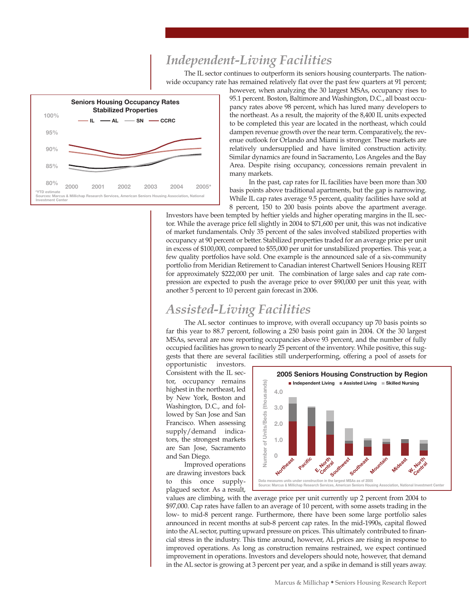# *Independent-Living Facilities*

The IL sector continues to outperform its seniors housing counterparts. The nationwide occupancy rate has remained relatively flat over the past few quarters at 91 percent;



however, when analyzing the 30 largest MSAs, occupancy rises to 95.1 percent. Boston, Baltimore and Washington, D.C., all boast occupancy rates above 98 percent, which has lured many developers to the northeast. As a result, the majority of the 8,400 IL units expected to be completed this year are located in the northeast, which could dampen revenue growth over the near term. Comparatively, the revenue outlook for Orlando and Miami is stronger. These markets are relatively undersupplied and have limited construction activity. Similar dynamics are found in Sacramento, Los Angeles and the Bay Area. Despite rising occupancy, concessions remain prevalent in many markets.

In the past, cap rates for IL facilities have been more than 300 basis points above traditional apartments, but the gap is narrowing. While IL cap rates average 9.5 percent, quality facilities have sold at 8 percent, 150 to 200 basis points above the apartment average.

Investors have been tempted by heftier yields and higher operating margins in the IL sector. While the average price fell slightly in 2004 to \$71,600 per unit, this was not indicative of market fundamentals. Only 35 percent of the sales involved stabilized properties with occupancy at 90 percent or better. Stabilized properties traded for an average price per unit in excess of \$100,000, compared to \$55,000 per unit for unstabilized properties. This year, a few quality portfolios have sold. One example is the announced sale of a six-community portfolio from Meridian Retirement to Canadian interest Chartwell Seniors Housing REIT for approximately \$222,000 per unit. The combination of large sales and cap rate compression are expected to push the average price to over \$90,000 per unit this year, with another 5 percent to 10 percent gain forecast in 2006.

### *Assisted-Living Facilities*

The AL sector continues to improve, with overall occupancy up 70 basis points so far this year to 88.7 percent, following a 250 basis point gain in 2004. Of the 30 largest MSAs, several are now reporting occupancies above 93 percent, and the number of fully occupied facilities has grown to nearly 25 percent of the inventory. While positive, this suggests that there are several facilities still underperforming, offering a pool of assets for

opportunistic investors. Consistent with the IL sector, occupancy remains highest in the northeast, led by New York, Boston and Washington, D.C., and followed by San Jose and San Francisco. When assessing supply/demand indicators, the strongest markets are San Jose, Sacramento and San Diego.

Improved operations are drawing investors back to this once supplyplagued sector. As a result,



values are climbing, with the average price per unit currently up 2 percent from 2004 to \$97,000. Cap rates have fallen to an average of 10 percent, with some assets trading in the low- to mid-8 percent range. Furthermore, there have been some large portfolio sales announced in recent months at sub-8 percent cap rates. In the mid-1990s, capital flowed into the AL sector, putting upward pressure on prices. This ultimately contributed to financial stress in the industry. This time around, however, AL prices are rising in response to improved operations. As long as construction remains restrained, we expect continued improvement in operations. Investors and developers should note, however, that demand in the AL sector is growing at 3 percent per year, and a spike in demand is still years away.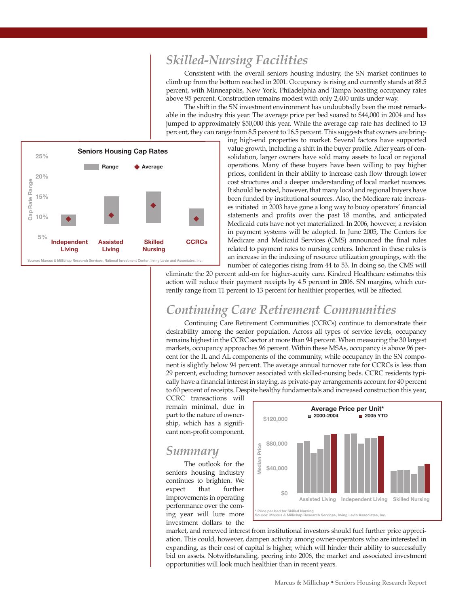### *Skilled-Nursing Facilities*

Consistent with the overall seniors housing industry, the SN market continues to climb up from the bottom reached in 2001. Occupancy is rising and currently stands at 88.5 percent, with Minneapolis, New York, Philadelphia and Tampa boasting occupancy rates above 95 percent. Construction remains modest with only 2,400 units under way.

The shift in the SN investment environment has undoubtedly been the most remarkable in the industry this year. The average price per bed soared to \$44,000 in 2004 and has jumped to approximately \$50,000 this year. While the average cap rate has declined to 13 percent, they can range from 8.5 percent to 16.5 percent. This suggests that owners are bring-



ing high-end properties to market. Several factors have supported value growth, including a shift in the buyer profile. After years of consolidation, larger owners have sold many assets to local or regional operations. Many of these buyers have been willing to pay higher prices, confident in their ability to increase cash flow through lower cost structures and a deeper understanding of local market nuances. It should be noted, however, that many local and regional buyers have been funded by institutional sources. Also, the Medicare rate increases initiated in 2003 have gone a long way to buoy operators' financial statements and profits over the past 18 months, and anticipated Medicaid cuts have not yet materialized. In 2006, however, a revision in payment systems will be adopted. In June 2005, The Centers for Medicare and Medicaid Services (CMS) announced the final rules related to payment rates to nursing centers. Inherent in these rules is an increase in the indexing of resource utilization groupings, with the number of categories rising from 44 to 53. In doing so, the CMS will

eliminate the 20 percent add-on for higher-acuity care. Kindred Healthcare estimates this action will reduce their payment receipts by 4.5 percent in 2006. SN margins, which currently range from 11 percent to 13 percent for healthier properties, will be affected.

### *Continuing Care Retirement Communities*

Continuing Care Retirement Communities (CCRCs) continue to demonstrate their desirability among the senior population. Across all types of service levels, occupancy remains highest in the CCRC sector at more than 94 percent. When measuring the 30 largest markets, occupancy approaches 96 percent. Within these MSAs, occupancy is above 96 percent for the IL and AL components of the community, while occupancy in the SN component is slightly below 94 percent. The average annual turnover rate for CCRCs is less than 29 percent, excluding turnover associated with skilled-nursing beds. CCRC residents typically have a financial interest in staying, as private-pay arrangements account for 40 percent to 60 percent of receipts. Despite healthy fundamentals and increased construction this year,

CCRC transactions will remain minimal, due in part to the nature of ownership, which has a significant non-profit component.

### *Summary*

The outlook for the seniors housing industry continues to brighten. We expect that further improvements in operating performance over the coming year will lure more investment dollars to the



market, and renewed interest from institutional investors should fuel further price appreciation. This could, however, dampen activity among owner-operators who are interested in expanding, as their cost of capital is higher, which will hinder their ability to successfully bid on assets. Notwithstanding, peering into 2006, the market and associated investment opportunities will look much healthier than in recent years.